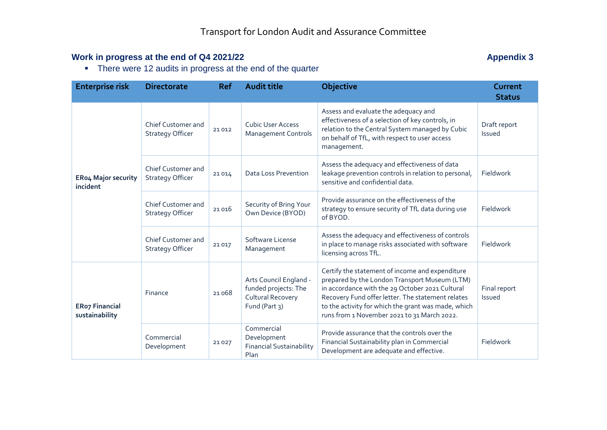## **Work in progress at the end of Q4 2021/22 Appendix 3 Appendix 3**

• There were 12 audits in progress at the end of the quarter

| <b>Enterprise risk</b>                  | <b>Directorate</b>                                   | <b>Ref</b> | <b>Audit title</b>                                                                          | <b>Objective</b>                                                                                                                                                                                                                                                                                               | Current<br><b>Status</b> |
|-----------------------------------------|------------------------------------------------------|------------|---------------------------------------------------------------------------------------------|----------------------------------------------------------------------------------------------------------------------------------------------------------------------------------------------------------------------------------------------------------------------------------------------------------------|--------------------------|
| <b>ERo4 Major security</b><br>incident  | <b>Chief Customer and</b><br><b>Strategy Officer</b> | 21012      | <b>Cubic User Access</b><br><b>Management Controls</b>                                      | Assess and evaluate the adequacy and<br>effectiveness of a selection of key controls, in<br>relation to the Central System managed by Cubic<br>on behalf of TfL, with respect to user access<br>management.                                                                                                    | Draft report<br>Issued   |
|                                         | Chief Customer and<br><b>Strategy Officer</b>        | 21014      | <b>Data Loss Prevention</b>                                                                 | Assess the adequacy and effectiveness of data<br>leakage prevention controls in relation to personal,<br>sensitive and confidential data.                                                                                                                                                                      | Fieldwork                |
|                                         | <b>Chief Customer and</b><br><b>Strategy Officer</b> | 21016      | Security of Bring Your<br>Own Device (BYOD)                                                 | Provide assurance on the effectiveness of the<br>strategy to ensure security of TfL data during use<br>of BYOD.                                                                                                                                                                                                | Fieldwork                |
|                                         | Chief Customer and<br><b>Strategy Officer</b>        | 21017      | Software License<br>Management                                                              | Assess the adequacy and effectiveness of controls<br>in place to manage risks associated with software<br>licensing across TfL.                                                                                                                                                                                | Fieldwork                |
| <b>ERo7 Financial</b><br>sustainability | Finance                                              | 21068      | Arts Council England -<br>funded projects: The<br><b>Cultural Recovery</b><br>Fund (Part 3) | Certify the statement of income and expenditure<br>prepared by the London Transport Museum (LTM)<br>in accordance with the 29 October 2021 Cultural<br>Recovery Fund offer letter. The statement relates<br>to the activity for which the grant was made, which<br>runs from 1 November 2021 to 31 March 2022. | Final report<br>Issued   |
|                                         | Commercial<br>Development                            | 21027      | Commercial<br>Development<br><b>Financial Sustainability</b><br>Plan                        | Provide assurance that the controls over the<br>Financial Sustainability plan in Commercial<br>Development are adequate and effective.                                                                                                                                                                         | Fieldwork                |